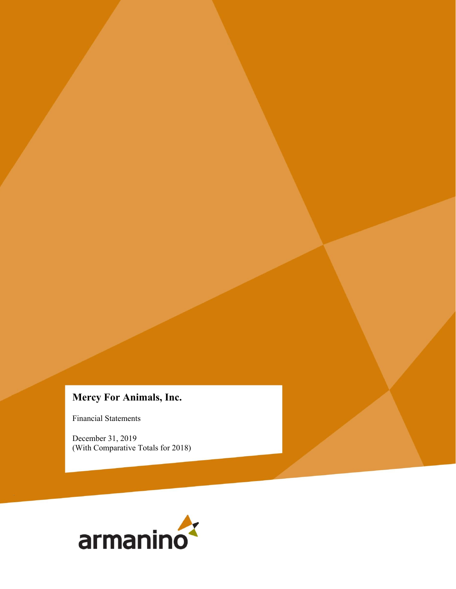# **Mercy For Animals, Inc.**

Financial Statements

December 31, 2019 (With Comparative Totals for 2018)

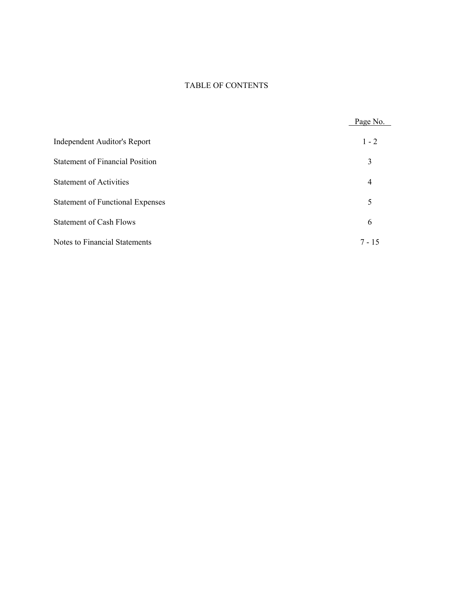# TABLE OF CONTENTS

|                                         | Page No.       |
|-----------------------------------------|----------------|
| <b>Independent Auditor's Report</b>     | $1 - 2$        |
| <b>Statement of Financial Position</b>  | 3              |
| <b>Statement of Activities</b>          | $\overline{4}$ |
| <b>Statement of Functional Expenses</b> | 5              |
| <b>Statement of Cash Flows</b>          | 6              |
| <b>Notes to Financial Statements</b>    | $7 - 15$       |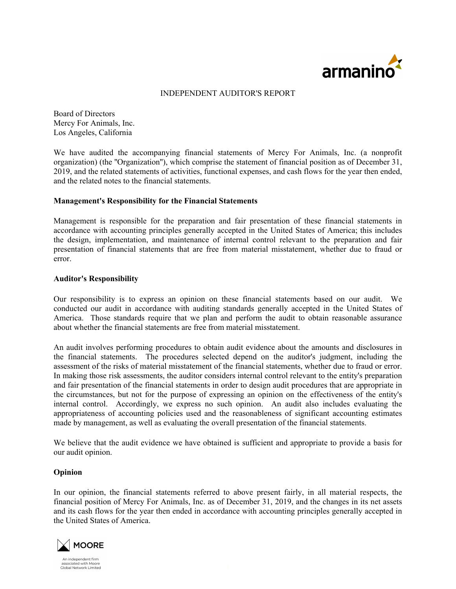

### INDEPENDENT AUDITOR'S REPORT

Board of Directors Mercy For Animals, Inc. Los Angeles, California

We have audited the accompanying financial statements of Mercy For Animals, Inc. (a nonprofit organization) (the ''Organization''), which comprise the statement of financial position as of December 31, 2019, and the related statements of activities, functional expenses, and cash flows for the year then ended, and the related notes to the financial statements.

### **Management's Responsibility for the Financial Statements**

Management is responsible for the preparation and fair presentation of these financial statements in accordance with accounting principles generally accepted in the United States of America; this includes the design, implementation, and maintenance of internal control relevant to the preparation and fair presentation of financial statements that are free from material misstatement, whether due to fraud or error.

### **Auditor's Responsibility**

Our responsibility is to express an opinion on these financial statements based on our audit. We conducted our audit in accordance with auditing standards generally accepted in the United States of America. Those standards require that we plan and perform the audit to obtain reasonable assurance about whether the financial statements are free from material misstatement.

An audit involves performing procedures to obtain audit evidence about the amounts and disclosures in the financial statements. The procedures selected depend on the auditor's judgment, including the assessment of the risks of material misstatement of the financial statements, whether due to fraud or error. In making those risk assessments, the auditor considers internal control relevant to the entity's preparation and fair presentation of the financial statements in order to design audit procedures that are appropriate in the circumstances, but not for the purpose of expressing an opinion on the effectiveness of the entity's internal control. Accordingly, we express no such opinion. An audit also includes evaluating the appropriateness of accounting policies used and the reasonableness of significant accounting estimates made by management, as well as evaluating the overall presentation of the financial statements.

We believe that the audit evidence we have obtained is sufficient and appropriate to provide a basis for our audit opinion.

### **Opinion**

In our opinion, the financial statements referred to above present fairly, in all material respects, the financial position of Mercy For Animals, Inc. as of December 31, 2019, and the changes in its net assets and its cash flows for the year then ended in accordance with accounting principles generally accepted in the United States of America.



An indenendent firm Armdependent mm<br>associated with Moore<br>Global Network Limited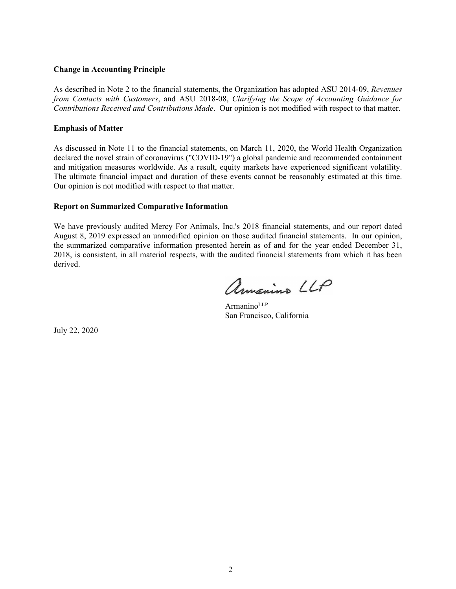### **Change in Accounting Principle**

As described in Note 2 to the financial statements, the Organization has adopted ASU 2014-09, *Revenues from Contacts with Customers*, and ASU 2018-08, *Clarifying the Scope of Accounting Guidance for Contributions Received and Contributions Made*. Our opinion is not modified with respect to that matter.

### **Emphasis of Matter**

As discussed in Note 11 to the financial statements, on March 11, 2020, the World Health Organization declared the novel strain of coronavirus ("COVID-19") a global pandemic and recommended containment and mitigation measures worldwide. As a result, equity markets have experienced significant volatility. The ultimate financial impact and duration of these events cannot be reasonably estimated at this time. Our opinion is not modified with respect to that matter.

### **Report on Summarized Comparative Information**

We have previously audited Mercy For Animals, Inc.'s 2018 financial statements, and our report dated August 8, 2019 expressed an unmodified opinion on those audited financial statements. In our opinion, the summarized comparative information presented herein as of and for the year ended December 31, 2018, is consistent, in all material respects, with the audited financial statements from which it has been derived.

armanino LLP

ArmaninoLLP San Francisco, California

July 22, 2020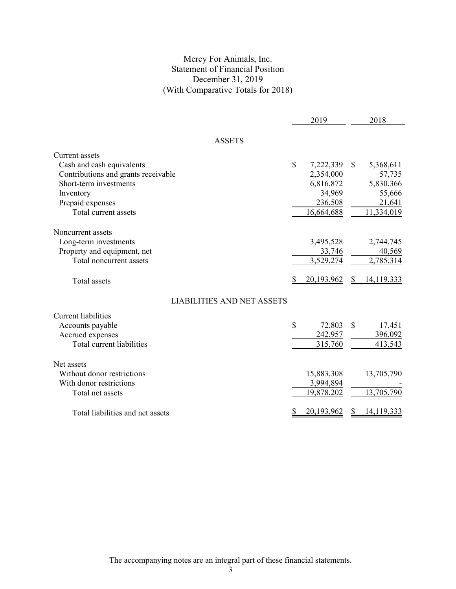# Mercy For Animals, Inc. Statement of Financial Position December 31, 2019 (With Comparative Totals for 2018)

|                                     | 2019            | 2018                      |
|-------------------------------------|-----------------|---------------------------|
| <b>ASSETS</b>                       |                 |                           |
| Current assets                      |                 |                           |
| Cash and cash equivalents           | \$<br>7,222,339 | $\mathbb{S}$<br>5,368,611 |
| Contributions and grants receivable | 2,354,000       | 57,735                    |
| Short-term investments              | 6,816,872       | 5,830,366                 |
| Inventory                           | 34,969          | 55,666                    |
| Prepaid expenses                    | 236,508         | 21,641                    |
| Total current assets                | 16,664,688      | 11,334,019                |
| Noncurrent assets                   |                 |                           |
| Long-term investments               | 3,495,528       | 2,744,745                 |
| Property and equipment, net         | 33,746          | 40,569                    |
| Total noncurrent assets             | 3,529,274       | 2,785,314                 |
| <b>Total</b> assets                 | 20,193,962      | 14, 119, 333<br>\$        |
| <b>LIABILITIES AND NET ASSETS</b>   |                 |                           |
| <b>Current liabilities</b>          |                 |                           |
| Accounts payable                    | \$<br>72,803    | \$<br>17,451              |
| Accrued expenses                    | 242,957         | 396,092                   |
| Total current liabilities           | 315,760         | 413,543                   |
| Net assets                          |                 |                           |
| Without donor restrictions          | 15,883,308      | 13,705,790                |
| With donor restrictions             | 3,994,894       |                           |
| Total net assets                    | 19,878,202      | 13,705,790                |
| Total liabilities and net assets    | 20,193,962      | 14,119,333                |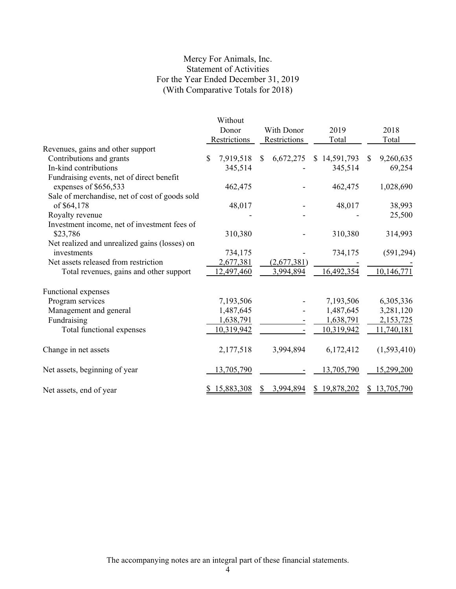# Mercy For Animals, Inc. Statement of Activities For the Year Ended December 31, 2019 (With Comparative Totals for 2018)

|                                                | Without      |            |              |              |   |              |                  |
|------------------------------------------------|--------------|------------|--------------|--------------|---|--------------|------------------|
|                                                | Donor        |            |              | With Donor   |   | 2019         | 2018             |
|                                                | Restrictions |            |              | Restrictions |   | Total        | Total            |
| Revenues, gains and other support              |              |            |              |              |   |              |                  |
| Contributions and grants                       | \$           | 7,919,518  | $\mathbb{S}$ | 6,672,275    |   | \$14,591,793 | \$<br>9,260,635  |
| In-kind contributions                          |              | 345,514    |              |              |   | 345,514      | 69,254           |
| Fundraising events, net of direct benefit      |              |            |              |              |   |              |                  |
| expenses of \$656,533                          |              | 462,475    |              |              |   | 462,475      | 1,028,690        |
| Sale of merchandise, net of cost of goods sold |              |            |              |              |   |              |                  |
| of \$64,178                                    |              | 48,017     |              |              |   | 48,017       | 38,993           |
| Royalty revenue                                |              |            |              |              |   |              | 25,500           |
| Investment income, net of investment fees of   |              |            |              |              |   |              |                  |
| \$23,786                                       |              | 310,380    |              |              |   | 310,380      | 314,993          |
| Net realized and unrealized gains (losses) on  |              |            |              |              |   |              |                  |
| investments                                    |              | 734,175    |              |              |   | 734,175      | (591, 294)       |
| Net assets released from restriction           |              | 2,677,381  |              | (2,677,381)  |   |              |                  |
| Total revenues, gains and other support        |              | 12,497,460 |              | 3,994,894    |   | 16,492,354   | 10,146,771       |
| Functional expenses                            |              |            |              |              |   |              |                  |
| Program services                               |              | 7,193,506  |              |              |   | 7,193,506    | 6,305,336        |
| Management and general                         |              | 1,487,645  |              |              |   | 1,487,645    | 3,281,120        |
| Fundraising                                    |              | 1,638,791  |              |              |   | 1,638,791    | 2,153,725        |
| Total functional expenses                      |              | 10,319,942 |              |              |   | 10,319,942   | 11,740,181       |
| Change in net assets                           |              | 2,177,518  |              | 3,994,894    |   | 6,172,412    | (1,593,410)      |
| Net assets, beginning of year                  |              | 13,705,790 |              |              |   | 13,705,790   | 15,299,200       |
| Net assets, end of year                        |              | 15,883,308 |              | 3,994,894    | S | 19,878,202   | \$<br>13,705,790 |

The accompanying notes are an integral part of these financial statements.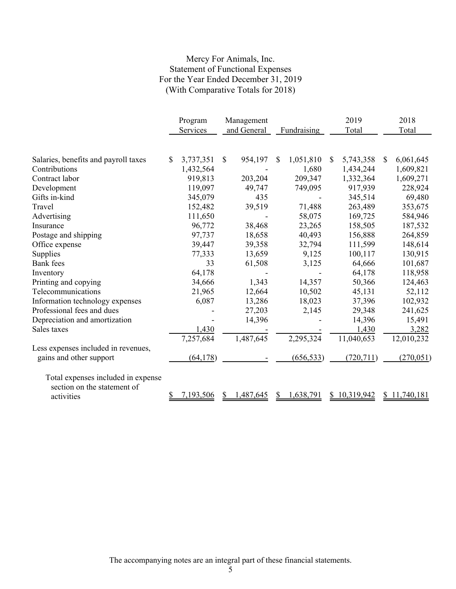# Mercy For Animals, Inc. Statement of Functional Expenses For the Year Ended December 31, 2019 (With Comparative Totals for 2018)

|                                                                   | Program<br>Services | Management<br>and General |   | Fundraising |              | 2019<br>Total |               | 2018<br>Total |
|-------------------------------------------------------------------|---------------------|---------------------------|---|-------------|--------------|---------------|---------------|---------------|
|                                                                   |                     |                           |   |             |              |               |               |               |
| Salaries, benefits and payroll taxes                              | \$<br>3,737,351     | \$<br>954,197             | S | 1,051,810   | $\mathbb{S}$ | 5,743,358     | <sup>\$</sup> | 6,061,645     |
| Contributions                                                     | 1,432,564           |                           |   | 1,680       |              | 1,434,244     |               | 1,609,821     |
| Contract labor                                                    | 919,813             | 203,204                   |   | 209,347     |              | 1,332,364     |               | 1,609,271     |
| Development                                                       | 119,097             | 49,747                    |   | 749,095     |              | 917,939       |               | 228,924       |
| Gifts in-kind                                                     | 345,079             | 435                       |   |             |              | 345,514       |               | 69,480        |
| Travel                                                            | 152,482             | 39,519                    |   | 71,488      |              | 263,489       |               | 353,675       |
| Advertising                                                       | 111,650             |                           |   | 58,075      |              | 169,725       |               | 584,946       |
| Insurance                                                         | 96,772              | 38,468                    |   | 23,265      |              | 158,505       |               | 187,532       |
| Postage and shipping                                              | 97,737              | 18,658                    |   | 40,493      |              | 156,888       |               | 264,859       |
| Office expense                                                    | 39,447              | 39,358                    |   | 32,794      |              | 111,599       |               | 148,614       |
| Supplies                                                          | 77,333              | 13,659                    |   | 9,125       |              | 100,117       |               | 130,915       |
| <b>Bank</b> fees                                                  | 33                  | 61,508                    |   | 3,125       |              | 64,666        |               | 101,687       |
| Inventory                                                         | 64,178              |                           |   |             |              | 64,178        |               | 118,958       |
| Printing and copying                                              | 34,666              | 1,343                     |   | 14,357      |              | 50,366        |               | 124,463       |
| Telecommunications                                                | 21,965              | 12,664                    |   | 10,502      |              | 45,131        |               | 52,112        |
| Information technology expenses                                   | 6,087               | 13,286                    |   | 18,023      |              | 37,396        |               | 102,932       |
| Professional fees and dues                                        |                     | 27,203                    |   | 2,145       |              | 29,348        |               | 241,625       |
| Depreciation and amortization                                     |                     | 14,396                    |   |             |              | 14,396        |               | 15,491        |
| Sales taxes                                                       | 1,430               |                           |   |             |              | 1,430         |               | 3,282         |
|                                                                   | 7,257,684           | 1,487,645                 |   | 2,295,324   |              | 11,040,653    |               | 12,010,232    |
| Less expenses included in revenues,                               |                     |                           |   |             |              |               |               |               |
| gains and other support                                           | (64, 178)           |                           |   | (656, 533)  |              | (720, 711)    |               | (270, 051)    |
| Total expenses included in expense<br>section on the statement of |                     |                           |   |             |              |               |               |               |
| activities                                                        | 7,193,506           | 1,487,645                 | S | 1,638,791   | \$           | 10,319,942    |               | \$11,740,181  |

The accompanying notes are an integral part of these financial statements.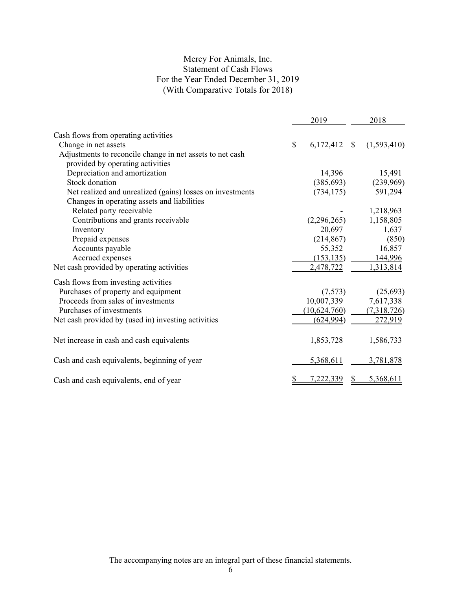# Mercy For Animals, Inc. Statement of Cash Flows For the Year Ended December 31, 2019 (With Comparative Totals for 2018)

|                                                           | 2019             |              | 2018        |
|-----------------------------------------------------------|------------------|--------------|-------------|
| Cash flows from operating activities                      |                  |              |             |
| Change in net assets                                      | \$<br>6,172,412  | $\mathbb{S}$ | (1,593,410) |
| Adjustments to reconcile change in net assets to net cash |                  |              |             |
| provided by operating activities                          |                  |              |             |
| Depreciation and amortization                             | 14,396           |              | 15,491      |
| Stock donation                                            | (385, 693)       |              | (239,969)   |
| Net realized and unrealized (gains) losses on investments | (734, 175)       |              | 591,294     |
| Changes in operating assets and liabilities               |                  |              |             |
| Related party receivable                                  |                  |              | 1,218,963   |
| Contributions and grants receivable                       | (2,296,265)      |              | 1,158,805   |
| Inventory                                                 | 20,697           |              | 1,637       |
| Prepaid expenses                                          | (214, 867)       |              | (850)       |
| Accounts payable                                          | 55,352           |              | 16,857      |
| Accrued expenses                                          | (153, 135)       |              | 144,996     |
| Net cash provided by operating activities                 | 2,478,722        |              | 1,313,814   |
| Cash flows from investing activities                      |                  |              |             |
| Purchases of property and equipment                       | (7,573)          |              | (25, 693)   |
| Proceeds from sales of investments                        | 10,007,339       |              | 7,617,338   |
| Purchases of investments                                  | (10,624,760)     |              | (7,318,726) |
| Net cash provided by (used in) investing activities       | (624, 994)       |              | 272,919     |
| Net increase in cash and cash equivalents                 | 1,853,728        |              | 1,586,733   |
| Cash and cash equivalents, beginning of year              | 5,368,611        |              | 3,781,878   |
| Cash and cash equivalents, end of year                    | <u>7,222,339</u> | S            | 5,368,611   |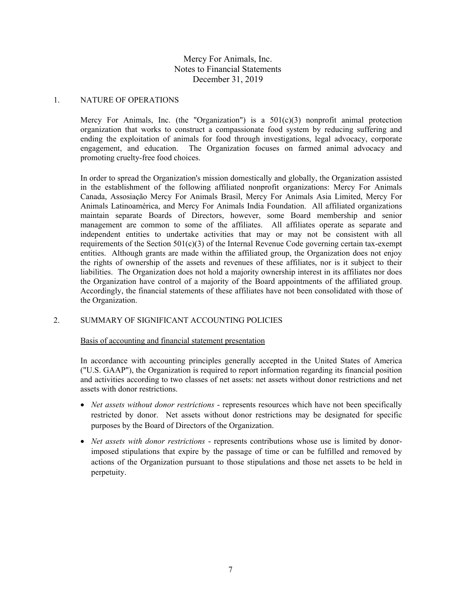### 1. NATURE OF OPERATIONS

Mercy For Animals, Inc. (the "Organization") is a  $501(c)(3)$  nonprofit animal protection organization that works to construct a compassionate food system by reducing suffering and ending the exploitation of animals for food through investigations, legal advocacy, corporate engagement, and education. The Organization focuses on farmed animal advocacy and promoting cruelty-free food choices.

In order to spread the Organization's mission domestically and globally, the Organization assisted in the establishment of the following affiliated nonprofit organizations: Mercy For Animals Canada, Assosiação Mercy For Animals Brasil, Mercy For Animals Asia Limited, Mercy For Animals Latinoamérica, and Mercy For Animals India Foundation. All affiliated organizations maintain separate Boards of Directors, however, some Board membership and senior management are common to some of the affiliates. All affiliates operate as separate and independent entities to undertake activities that may or may not be consistent with all requirements of the Section 501(c)(3) of the Internal Revenue Code governing certain tax-exempt entities. Although grants are made within the affiliated group, the Organization does not enjoy the rights of ownership of the assets and revenues of these affiliates, nor is it subject to their liabilities. The Organization does not hold a majority ownership interest in its affiliates nor does the Organization have control of a majority of the Board appointments of the affiliated group. Accordingly, the financial statements of these affiliates have not been consolidated with those of the Organization.

### 2. SUMMARY OF SIGNIFICANT ACCOUNTING POLICIES

### Basis of accounting and financial statement presentation

In accordance with accounting principles generally accepted in the United States of America ("U.S. GAAP"), the Organization is required to report information regarding its financial position and activities according to two classes of net assets: net assets without donor restrictions and net assets with donor restrictions.

- *Net assets without donor restrictions* represents resources which have not been specifically restricted by donor. Net assets without donor restrictions may be designated for specific purposes by the Board of Directors of the Organization.
- *Net assets with donor restrictions* represents contributions whose use is limited by donorimposed stipulations that expire by the passage of time or can be fulfilled and removed by actions of the Organization pursuant to those stipulations and those net assets to be held in perpetuity.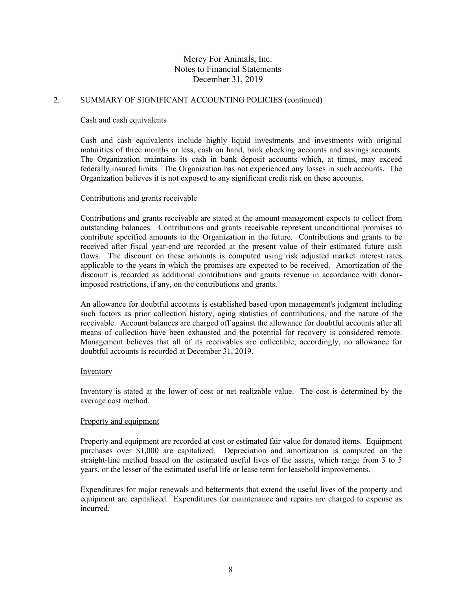# 2. SUMMARY OF SIGNIFICANT ACCOUNTING POLICIES (continued)

#### Cash and cash equivalents

Cash and cash equivalents include highly liquid investments and investments with original maturities of three months or less, cash on hand, bank checking accounts and savings accounts. The Organization maintains its cash in bank deposit accounts which, at times, may exceed federally insured limits. The Organization has not experienced any losses in such accounts. The Organization believes it is not exposed to any significant credit risk on these accounts.

#### Contributions and grants receivable

Contributions and grants receivable are stated at the amount management expects to collect from outstanding balances. Contributions and grants receivable represent unconditional promises to contribute specified amounts to the Organization in the future. Contributions and grants to be received after fiscal year-end are recorded at the present value of their estimated future cash flows. The discount on these amounts is computed using risk adjusted market interest rates applicable to the years in which the promises are expected to be received. Amortization of the discount is recorded as additional contributions and grants revenue in accordance with donorimposed restrictions, if any, on the contributions and grants.

An allowance for doubtful accounts is established based upon management's judgment including such factors as prior collection history, aging statistics of contributions, and the nature of the receivable. Account balances are charged off against the allowance for doubtful accounts after all means of collection have been exhausted and the potential for recovery is considered remote. Management believes that all of its receivables are collectible; accordingly, no allowance for doubtful accounts is recorded at December 31, 2019.

### **Inventory**

Inventory is stated at the lower of cost or net realizable value. The cost is determined by the average cost method.

## Property and equipment

Property and equipment are recorded at cost or estimated fair value for donated items. Equipment purchases over \$1,000 are capitalized. Depreciation and amortization is computed on the straight-line method based on the estimated useful lives of the assets, which range from 3 to 5 years, or the lesser of the estimated useful life or lease term for leasehold improvements.

Expenditures for major renewals and betterments that extend the useful lives of the property and equipment are capitalized. Expenditures for maintenance and repairs are charged to expense as incurred.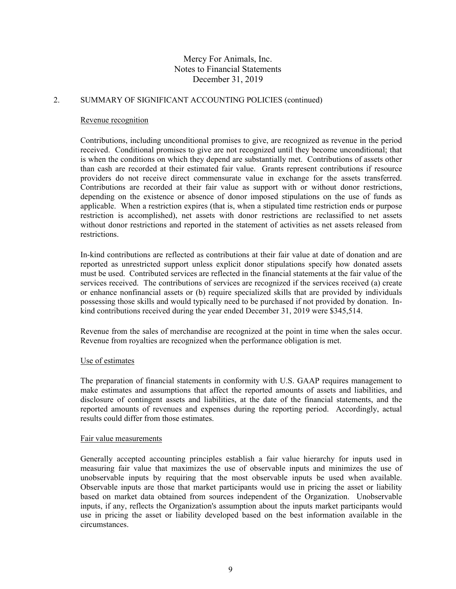# 2. SUMMARY OF SIGNIFICANT ACCOUNTING POLICIES (continued)

#### Revenue recognition

Contributions, including unconditional promises to give, are recognized as revenue in the period received. Conditional promises to give are not recognized until they become unconditional; that is when the conditions on which they depend are substantially met. Contributions of assets other than cash are recorded at their estimated fair value. Grants represent contributions if resource providers do not receive direct commensurate value in exchange for the assets transferred. Contributions are recorded at their fair value as support with or without donor restrictions, depending on the existence or absence of donor imposed stipulations on the use of funds as applicable. When a restriction expires (that is, when a stipulated time restriction ends or purpose restriction is accomplished), net assets with donor restrictions are reclassified to net assets without donor restrictions and reported in the statement of activities as net assets released from restrictions.

In-kind contributions are reflected as contributions at their fair value at date of donation and are reported as unrestricted support unless explicit donor stipulations specify how donated assets must be used. Contributed services are reflected in the financial statements at the fair value of the services received. The contributions of services are recognized if the services received (a) create or enhance nonfinancial assets or (b) require specialized skills that are provided by individuals possessing those skills and would typically need to be purchased if not provided by donation. Inkind contributions received during the year ended December 31, 2019 were \$345,514.

Revenue from the sales of merchandise are recognized at the point in time when the sales occur. Revenue from royalties are recognized when the performance obligation is met.

### Use of estimates

The preparation of financial statements in conformity with U.S. GAAP requires management to make estimates and assumptions that affect the reported amounts of assets and liabilities, and disclosure of contingent assets and liabilities, at the date of the financial statements, and the reported amounts of revenues and expenses during the reporting period. Accordingly, actual results could differ from those estimates.

### Fair value measurements

Generally accepted accounting principles establish a fair value hierarchy for inputs used in measuring fair value that maximizes the use of observable inputs and minimizes the use of unobservable inputs by requiring that the most observable inputs be used when available. Observable inputs are those that market participants would use in pricing the asset or liability based on market data obtained from sources independent of the Organization. Unobservable inputs, if any, reflects the Organization's assumption about the inputs market participants would use in pricing the asset or liability developed based on the best information available in the circumstances.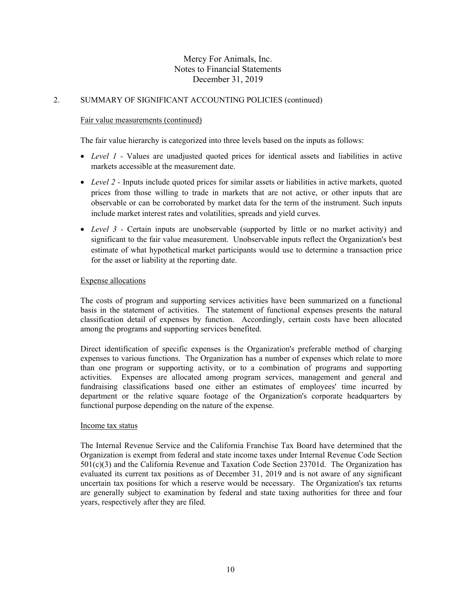# 2. SUMMARY OF SIGNIFICANT ACCOUNTING POLICIES (continued)

### Fair value measurements (continued)

The fair value hierarchy is categorized into three levels based on the inputs as follows:

- *Level 1 -* Values are unadjusted quoted prices for identical assets and liabilities in active markets accessible at the measurement date.
- *Level 2* Inputs include quoted prices for similar assets or liabilities in active markets, quoted prices from those willing to trade in markets that are not active, or other inputs that are observable or can be corroborated by market data for the term of the instrument. Such inputs include market interest rates and volatilities, spreads and yield curves.
- *Level 3 -* Certain inputs are unobservable (supported by little or no market activity) and significant to the fair value measurement. Unobservable inputs reflect the Organization's best estimate of what hypothetical market participants would use to determine a transaction price for the asset or liability at the reporting date.

# Expense allocations

The costs of program and supporting services activities have been summarized on a functional basis in the statement of activities. The statement of functional expenses presents the natural classification detail of expenses by function. Accordingly, certain costs have been allocated among the programs and supporting services benefited.

Direct identification of specific expenses is the Organization's preferable method of charging expenses to various functions. The Organization has a number of expenses which relate to more than one program or supporting activity, or to a combination of programs and supporting activities. Expenses are allocated among program services, management and general and fundraising classifications based one either an estimates of employees' time incurred by department or the relative square footage of the Organization's corporate headquarters by functional purpose depending on the nature of the expense.

### Income tax status

The Internal Revenue Service and the California Franchise Tax Board have determined that the Organization is exempt from federal and state income taxes under Internal Revenue Code Section 501(c)(3) and the California Revenue and Taxation Code Section 23701d. The Organization has evaluated its current tax positions as of December 31, 2019 and is not aware of any significant uncertain tax positions for which a reserve would be necessary. The Organization's tax returns are generally subject to examination by federal and state taxing authorities for three and four years, respectively after they are filed.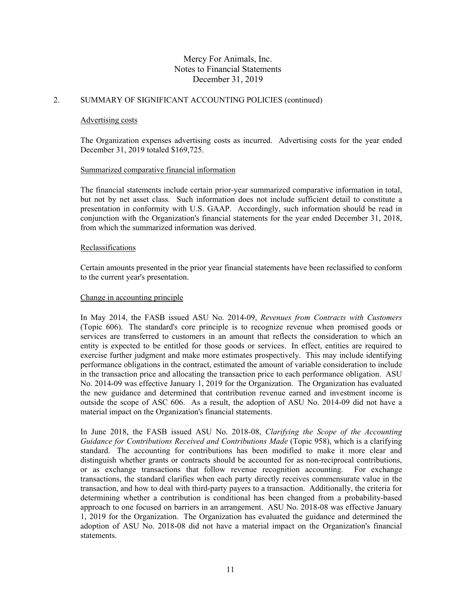# 2. SUMMARY OF SIGNIFICANT ACCOUNTING POLICIES (continued)

#### Advertising costs

The Organization expenses advertising costs as incurred. Advertising costs for the year ended December 31, 2019 totaled \$169,725.

### Summarized comparative financial information

The financial statements include certain prior-year summarized comparative information in total, but not by net asset class. Such information does not include sufficient detail to constitute a presentation in conformity with U.S. GAAP. Accordingly, such information should be read in conjunction with the Organization's financial statements for the year ended December 31, 2018, from which the summarized information was derived.

#### Reclassifications

Certain amounts presented in the prior year financial statements have been reclassified to conform to the current year's presentation.

#### Change in accounting principle

In May 2014, the FASB issued ASU No. 2014-09, *Revenues from Contracts with Customers* (Topic 606). The standard's core principle is to recognize revenue when promised goods or services are transferred to customers in an amount that reflects the consideration to which an entity is expected to be entitled for those goods or services. In effect, entities are required to exercise further judgment and make more estimates prospectively. This may include identifying performance obligations in the contract, estimated the amount of variable consideration to include in the transaction price and allocating the transaction price to each performance obligation. ASU No. 2014-09 was effective January 1, 2019 for the Organization. The Organization has evaluated the new guidance and determined that contribution revenue earned and investment income is outside the scope of ASC 606. As a result, the adoption of ASU No. 2014-09 did not have a material impact on the Organization's financial statements.

In June 2018, the FASB issued ASU No. 2018-08, *Clarifying the Scope of the Accounting Guidance for Contributions Received and Contributions Made* (Topic 958), which is a clarifying standard. The accounting for contributions has been modified to make it more clear and distinguish whether grants or contracts should be accounted for as non-reciprocal contributions, or as exchange transactions that follow revenue recognition accounting. For exchange transactions, the standard clarifies when each party directly receives commensurate value in the transaction, and how to deal with third-party payers to a transaction. Additionally, the criteria for determining whether a contribution is conditional has been changed from a probability-based approach to one focused on barriers in an arrangement. ASU No. 2018-08 was effective January 1, 2019 for the Organization. The Organization has evaluated the guidance and determined the adoption of ASU No. 2018-08 did not have a material impact on the Organization's financial statements.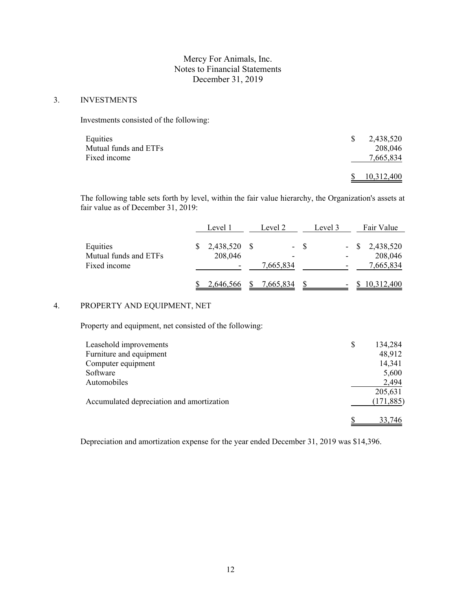# 3. INVESTMENTS

Investments consisted of the following:

| Equities<br>Mutual funds and ETFs<br>Fixed income | <sup>S</sup>  | 2,438,520<br>208,046<br>7,665,834 |
|---------------------------------------------------|---------------|-----------------------------------|
|                                                   | <sup>\$</sup> | 10,312,400                        |

The following table sets forth by level, within the fair value hierarchy, the Organization's assets at fair value as of December 31, 2019:

|                                                   | Level 1              |  | Level 2   |      |  |  |                                          |  | Level 3 |  | Fair Value |  |
|---------------------------------------------------|----------------------|--|-----------|------|--|--|------------------------------------------|--|---------|--|------------|--|
| Equities<br>Mutual funds and ETFs<br>Fixed income | 2,438,520<br>208,046 |  | 7,665,834 | - \$ |  |  | $-$ \$ 2,438,520<br>208,046<br>7,665,834 |  |         |  |            |  |
|                                                   | 2,646,566            |  | 7,665,834 |      |  |  | \$10,312,400                             |  |         |  |            |  |

# 4. PROPERTY AND EQUIPMENT, NET

Property and equipment, net consisted of the following:

| Leasehold improvements                    | \$<br>134,284 |
|-------------------------------------------|---------------|
| Furniture and equipment                   | 48,912        |
| Computer equipment                        | 14,341        |
| Software                                  | 5,600         |
| Automobiles                               | 2,494         |
|                                           | 205,631       |
| Accumulated depreciation and amortization | (171, 885)    |
|                                           | 33,746        |

Depreciation and amortization expense for the year ended December 31, 2019 was \$14,396.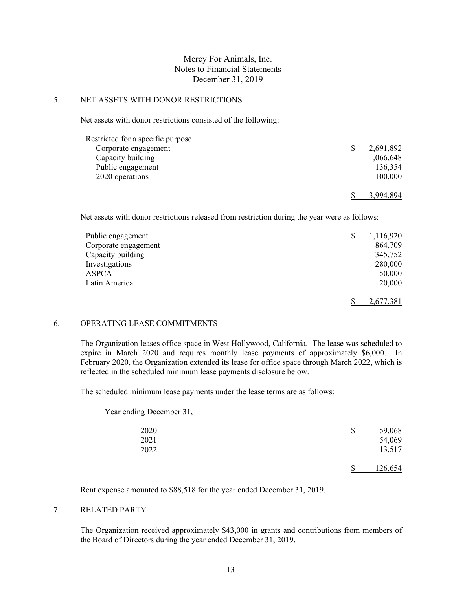### 5. NET ASSETS WITH DONOR RESTRICTIONS

Net assets with donor restrictions consisted of the following:

| Restricted for a specific purpose |           |
|-----------------------------------|-----------|
| Corporate engagement              | 2,691,892 |
| Capacity building                 | 1,066,648 |
| Public engagement                 | 136,354   |
| 2020 operations                   | 100,000   |
|                                   | 3.994.894 |

Net assets with donor restrictions released from restriction during the year were as follows:

| Public engagement    | 1,116,920 |
|----------------------|-----------|
| Corporate engagement | 864,709   |
| Capacity building    | 345,752   |
| Investigations       | 280,000   |
| ASPCA                | 50,000    |
| Latin America        | 20,000    |
|                      | 2,677,381 |
|                      |           |

# 6. OPERATING LEASE COMMITMENTS

The Organization leases office space in West Hollywood, California. The lease was scheduled to expire in March 2020 and requires monthly lease payments of approximately \$6,000. In February 2020, the Organization extended its lease for office space through March 2022, which is reflected in the scheduled minimum lease payments disclosure below.

The scheduled minimum lease payments under the lease terms are as follows:

| Year ending December 31, |              |  |
|--------------------------|--------------|--|
| 2020                     | \$<br>59,068 |  |
| 2021                     | 54,069       |  |
| 2022                     | 13,517       |  |
|                          | 126,654      |  |

Rent expense amounted to \$88,518 for the year ended December 31, 2019.

# 7. RELATED PARTY

The Organization received approximately \$43,000 in grants and contributions from members of the Board of Directors during the year ended December 31, 2019.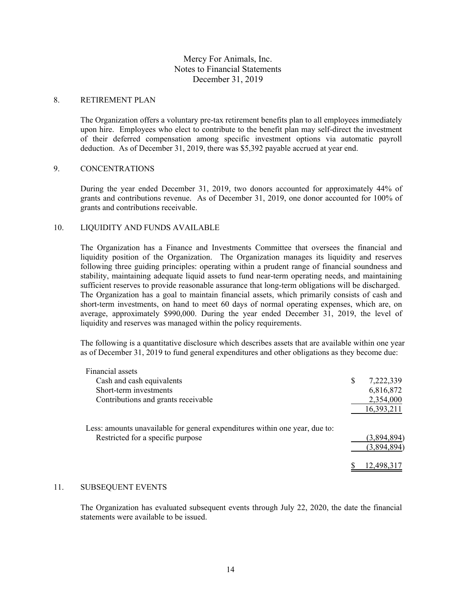#### 8. RETIREMENT PLAN

The Organization offers a voluntary pre-tax retirement benefits plan to all employees immediately upon hire. Employees who elect to contribute to the benefit plan may self-direct the investment of their deferred compensation among specific investment options via automatic payroll deduction. As of December 31, 2019, there was \$5,392 payable accrued at year end.

# 9. CONCENTRATIONS

During the year ended December 31, 2019, two donors accounted for approximately 44% of grants and contributions revenue. As of December 31, 2019, one donor accounted for 100% of grants and contributions receivable.

### 10. LIQUIDITY AND FUNDS AVAILABLE

The Organization has a Finance and Investments Committee that oversees the financial and liquidity position of the Organization. The Organization manages its liquidity and reserves following three guiding principles: operating within a prudent range of financial soundness and stability, maintaining adequate liquid assets to fund near-term operating needs, and maintaining sufficient reserves to provide reasonable assurance that long-term obligations will be discharged. The Organization has a goal to maintain financial assets, which primarily consists of cash and short-term investments, on hand to meet 60 days of normal operating expenses, which are, on average, approximately \$990,000. During the year ended December 31, 2019, the level of liquidity and reserves was managed within the policy requirements.

The following is a quantitative disclosure which describes assets that are available within one year as of December 31, 2019 to fund general expenditures and other obligations as they become due:

| Financial assets                                                                                                 |                            |
|------------------------------------------------------------------------------------------------------------------|----------------------------|
| Cash and cash equivalents                                                                                        | \$<br>7,222,339            |
| Short-term investments                                                                                           | 6,816,872                  |
| Contributions and grants receivable                                                                              | 2,354,000                  |
|                                                                                                                  | 16,393,211                 |
| Less: amounts unavailable for general expenditures within one year, due to:<br>Restricted for a specific purpose | (3,894,894)<br>(3,894,894) |
|                                                                                                                  | 12,498,317                 |

# 11. SUBSEQUENT EVENTS

The Organization has evaluated subsequent events through July 22, 2020, the date the financial statements were available to be issued.